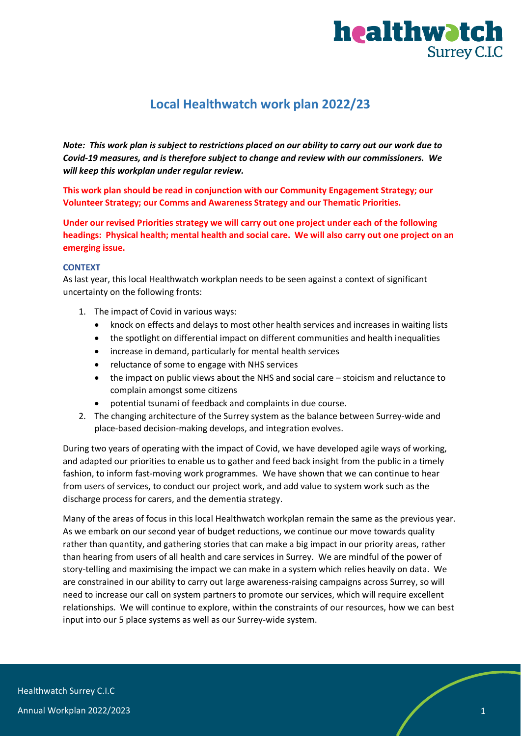

# **Local Healthwatch work plan 2022/23**

*Note: This work plan is subject to restrictions placed on our ability to carry out our work due to Covid-19 measures, and is therefore subject to change and review with our commissioners. We will keep this workplan under regular review.*

**This work plan should be read in conjunction with our Community Engagement Strategy; our Volunteer Strategy; our Comms and Awareness Strategy and our Thematic Priorities.**

**Under our revised Priorities strategy we will carry out one project under each of the following headings: Physical health; mental health and social care. We will also carry out one project on an emerging issue.**

### **CONTEXT**

As last year, this local Healthwatch workplan needs to be seen against a context of significant uncertainty on the following fronts:

- 1. The impact of Covid in various ways:
	- knock on effects and delays to most other health services and increases in waiting lists
	- the spotlight on differential impact on different communities and health inequalities
	- increase in demand, particularly for mental health services
	- reluctance of some to engage with NHS services
	- the impact on public views about the NHS and social care stoicism and reluctance to complain amongst some citizens
	- potential tsunami of feedback and complaints in due course.
- 2. The changing architecture of the Surrey system as the balance between Surrey-wide and place-based decision-making develops, and integration evolves.

During two years of operating with the impact of Covid, we have developed agile ways of working, and adapted our priorities to enable us to gather and feed back insight from the public in a timely fashion, to inform fast-moving work programmes. We have shown that we can continue to hear from users of services, to conduct our project work, and add value to system work such as the discharge process for carers, and the dementia strategy.

Many of the areas of focus in this local Healthwatch workplan remain the same as the previous year. As we embark on our second year of budget reductions, we continue our move towards quality rather than quantity, and gathering stories that can make a big impact in our priority areas, rather than hearing from users of all health and care services in Surrey. We are mindful of the power of story-telling and maximising the impact we can make in a system which relies heavily on data. We are constrained in our ability to carry out large awareness-raising campaigns across Surrey, so will need to increase our call on system partners to promote our services, which will require excellent relationships. We will continue to explore, within the constraints of our resources, how we can best input into our 5 place systems as well as our Surrey-wide system.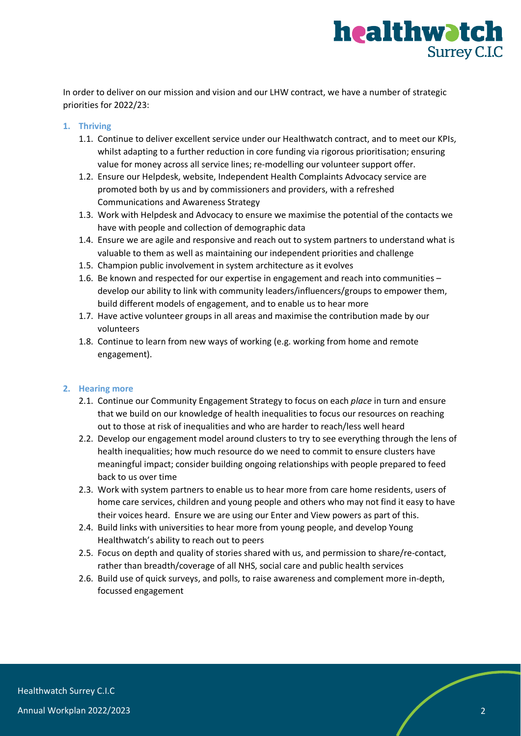

In order to deliver on our mission and vision and our LHW contract, we have a number of strategic priorities for 2022/23:

# **1. Thriving**

- 1.1. Continue to deliver excellent service under our Healthwatch contract, and to meet our KPIs, whilst adapting to a further reduction in core funding via rigorous prioritisation; ensuring value for money across all service lines; re-modelling our volunteer support offer.
- 1.2. Ensure our Helpdesk, website, Independent Health Complaints Advocacy service are promoted both by us and by commissioners and providers, with a refreshed Communications and Awareness Strategy
- 1.3. Work with Helpdesk and Advocacy to ensure we maximise the potential of the contacts we have with people and collection of demographic data
- 1.4. Ensure we are agile and responsive and reach out to system partners to understand what is valuable to them as well as maintaining our independent priorities and challenge
- 1.5. Champion public involvement in system architecture as it evolves
- 1.6. Be known and respected for our expertise in engagement and reach into communities develop our ability to link with community leaders/influencers/groups to empower them, build different models of engagement, and to enable us to hear more
- 1.7. Have active volunteer groups in all areas and maximise the contribution made by our volunteers
- 1.8. Continue to learn from new ways of working (e.g. working from home and remote engagement).

#### **2. Hearing more**

- 2.1. Continue our Community Engagement Strategy to focus on each *place* in turn and ensure that we build on our knowledge of health inequalities to focus our resources on reaching out to those at risk of inequalities and who are harder to reach/less well heard
- 2.2. Develop our engagement model around clusters to try to see everything through the lens of health inequalities; how much resource do we need to commit to ensure clusters have meaningful impact; consider building ongoing relationships with people prepared to feed back to us over time
- 2.3. Work with system partners to enable us to hear more from care home residents, users of home care services, children and young people and others who may not find it easy to have their voices heard. Ensure we are using our Enter and View powers as part of this.
- 2.4. Build links with universities to hear more from young people, and develop Young Healthwatch's ability to reach out to peers
- 2.5. Focus on depth and quality of stories shared with us, and permission to share/re-contact, rather than breadth/coverage of all NHS, social care and public health services
- 2.6. Build use of quick surveys, and polls, to raise awareness and complement more in-depth, focussed engagement